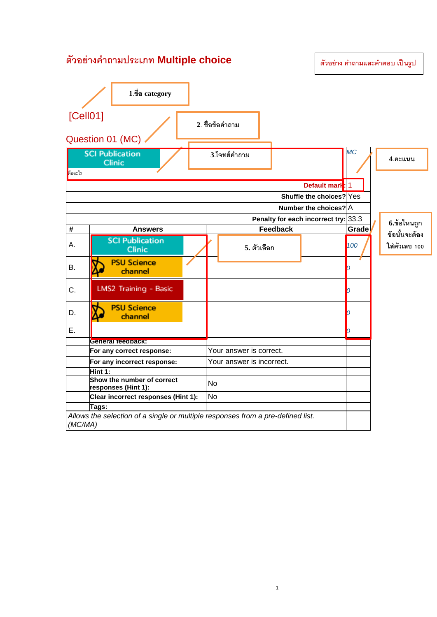## **ตัวอย่างคําถามประเภท Multiple choice**

**ตัวอย่าง คําถามและคําตอบ เป็ นรูป**

|                                                                | 1.ชื่อ category                                                                 |  |                 |                 |                          |           |  |               |
|----------------------------------------------------------------|---------------------------------------------------------------------------------|--|-----------------|-----------------|--------------------------|-----------|--|---------------|
| [Cell01]                                                       |                                                                                 |  | 2. ชื่อข้อคำถาม |                 |                          |           |  |               |
| Question 01 (MC)                                               |                                                                                 |  |                 |                 |                          |           |  |               |
|                                                                | <b>SCI Publication</b><br>Clinic                                                |  | 3.โจทย์คำถาม    |                 |                          | <b>MC</b> |  | $4.$ คะแนน    |
| คืออะไร                                                        |                                                                                 |  |                 |                 |                          |           |  |               |
| Default mark: 1                                                |                                                                                 |  |                 |                 |                          |           |  |               |
|                                                                |                                                                                 |  |                 |                 | Shuffle the choices? Yes |           |  |               |
|                                                                |                                                                                 |  |                 |                 | Number the choices? A    |           |  |               |
|                                                                | Penalty for each incorrect try: 33.3                                            |  |                 |                 |                          |           |  | 6.ข้อไหนถูก   |
| #                                                              | <b>Answers</b>                                                                  |  |                 | <b>Feedback</b> |                          | Grade     |  | ข้อนั้นจะต้อง |
| А.                                                             | <b>SCI Publication</b><br><b>Clinic</b>                                         |  | 5. ตัวเลือก     |                 |                          | 100       |  | ใส่ตัวเลข 100 |
| Β.                                                             | <b>PSU Science</b><br>channel                                                   |  |                 |                 |                          | n         |  |               |
| C.                                                             | LMS2 Training - Basic                                                           |  |                 |                 |                          | n         |  |               |
| D.                                                             | <b>PSU Science</b><br>channel                                                   |  |                 |                 |                          | n         |  |               |
| E.                                                             |                                                                                 |  |                 |                 |                          | h         |  |               |
|                                                                | <b>General feedback:</b>                                                        |  |                 |                 |                          |           |  |               |
|                                                                | Your answer is correct.<br>For any correct response:                            |  |                 |                 |                          |           |  |               |
|                                                                | Your answer is incorrect.<br>For any incorrect response:                        |  |                 |                 |                          |           |  |               |
| Hint 1:                                                        |                                                                                 |  |                 |                 |                          |           |  |               |
| Show the number of correct<br><b>No</b><br>responses (Hint 1): |                                                                                 |  |                 |                 |                          |           |  |               |
| No<br>Clear incorrect responses (Hint 1):                      |                                                                                 |  |                 |                 |                          |           |  |               |
| Tags:                                                          |                                                                                 |  |                 |                 |                          |           |  |               |
| (MC/MA)                                                        | Allows the selection of a single or multiple responses from a pre-defined list. |  |                 |                 |                          |           |  |               |

1